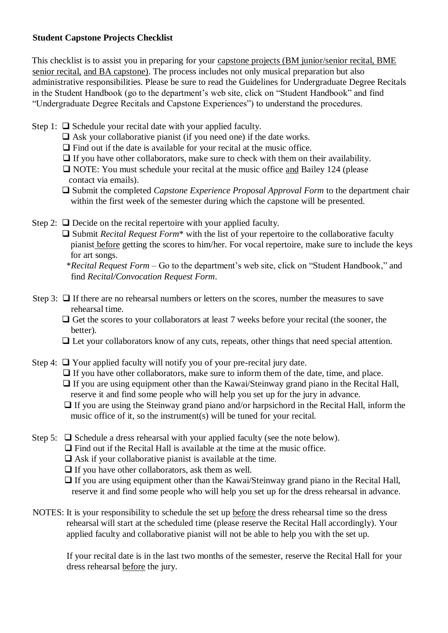## **Student Capstone Projects Checklist**

This checklist is to assist you in preparing for your capstone projects (BM junior/senior recital, BME senior recital, and BA capstone). The process includes not only musical preparation but also administrative responsibilities. Please be sure to read the Guidelines for Undergraduate Degree Recitals in the Student Handbook (go to the department's web site, click on "Student Handbook" and find "Undergraduate Degree Recitals and Capstone Experiences") to understand the procedures.

- Step 1:  $\Box$  Schedule your recital date with your applied faculty.
	- $\Box$  Ask your collaborative pianist (if you need one) if the date works.
	- $\Box$  Find out if the date is available for your recital at the music office.
	- $\Box$  If you have other collaborators, make sure to check with them on their availability.
	- NOTE: You must schedule your recital at the music office and Bailey 124 (please contact via emails).
	- Submit the completed *Capstone Experience Proposal Approval Form* to the department chair within the first week of the semester during which the capstone will be presented.
- Step 2:  $\Box$  Decide on the recital repertoire with your applied faculty.
	- □ Submit *Recital Request Form*<sup>\*</sup> with the list of your repertoire to the collaborative faculty pianist before getting the scores to him/her. For vocal repertoire, make sure to include the keys for art songs.

- Step 3:  $\Box$  If there are no rehearsal numbers or letters on the scores, number the measures to save rehearsal time.
	- $\Box$  Get the scores to your collaborators at least 7 weeks before your recital (the sooner, the better).
	- $\Box$  Let your collaborators know of any cuts, repeats, other things that need special attention.
- Step 4:  $\Box$  Your applied faculty will notify you of your pre-recital jury date.
	- $\Box$  If you have other collaborators, make sure to inform them of the date, time, and place.
	- $\Box$  If you are using equipment other than the Kawai/Steinway grand piano in the Recital Hall, reserve it and find some people who will help you set up for the jury in advance.
	- $\Box$  If you are using the Steinway grand piano and/or harpsichord in the Recital Hall, inform the music office of it, so the instrument(s) will be tuned for your recital.
- Step 5:  $\Box$  Schedule a dress rehearsal with your applied faculty (see the note below).
	- $\Box$  Find out if the Recital Hall is available at the time at the music office.
	- $\Box$  Ask if your collaborative pianist is available at the time.
	- $\Box$  If you have other collaborators, ask them as well.
	- $\Box$  If you are using equipment other than the Kawai/Steinway grand piano in the Recital Hall, reserve it and find some people who will help you set up for the dress rehearsal in advance.
- NOTES: It is your responsibility to schedule the set up before the dress rehearsal time so the dress rehearsal will start at the scheduled time (please reserve the Recital Hall accordingly). Your applied faculty and collaborative pianist will not be able to help you with the set up.

If your recital date is in the last two months of the semester, reserve the Recital Hall for your dress rehearsal before the jury.

 <sup>\*</sup>*Recital Request Form* – Go to the department's web site, click on "Student Handbook," and find *Recital/Convocation Request Form*.